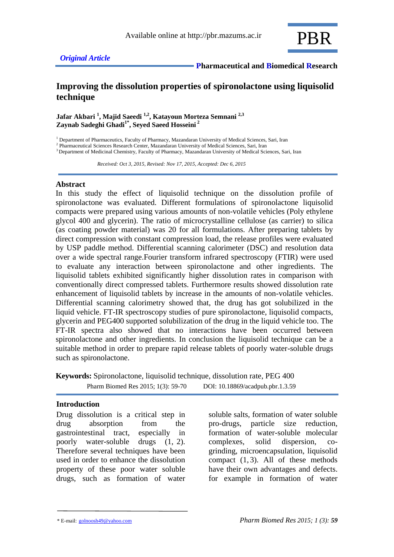

 **Pharmaceutical and Biomedical Research**

# **Improving the dissolution properties of spironolactone using liquisolid technique**

**Jafar Akbari <sup>1</sup> , Majid Saeedi 1,2, Katayoun Morteza Semnani 2,3 Zaynab Sadeghi Ghadi1\* , Seyed Saeed Hosseini <sup>2</sup>**

<sup>1</sup> Department of Pharmaceutics, Faculty of Pharmacy, Mazandaran University of Medical Sciences, Sari, Iran

<sup>2</sup> Pharmaceutical Sciences Research Center, Mazandaran University of Medical Sciences, Sari, Iran

<sup>3</sup> Department of Medicinal Chemistry, Faculty of Pharmacy, Mazandaran University of Medical Sciences, Sari, Iran

 *Received: Oct 3, 2015, Revised: Nov 17, 2015, Accepted: Dec 6, 2015*

#### **Abstract**

In this study the effect of liquisolid technique on the dissolution profile of spironolactone was evaluated. Different formulations of spironolactone liquisolid compacts were prepared using various amounts of non-volatile vehicles (Poly ethylene glycol 400 and glycerin). The ratio of microcrystalline cellulose (as carrier) to silica (as coating powder material) was 20 for all formulations. After preparing tablets by direct compression with constant compression load, the release profiles were evaluated by USP paddle method. Differential scanning calorimeter (DSC) and resolution data over a wide spectral range.Fourier transform infrared spectroscopy (FTIR) were used to evaluate any interaction between spironolactone and other ingredients. The liquisolid tablets exhibited significantly higher dissolution rates in comparison with conventionally direct compressed tablets. Furthermore results showed dissolution rate enhancement of liquisolid tablets by increase in the amounts of non-volatile vehicles. Differential scanning calorimetry showed that, the drug has got solubilized in the liquid vehicle. FT-IR spectroscopy studies of pure spironolactone, liquisolid compacts, glycerin and PEG400 supported solubilization of the drug in the liquid vehicle too. The FT-IR spectra also showed that no interactions have been occurred between spironolactone and other ingredients. In conclusion the liquisolid technique can be a suitable method in order to prepare rapid release tablets of poorly water-soluble drugs such as spironolactone.

**Keywords:** Spironolactone, liquisolid technique, dissolution rate, PEG 400 Pharm Biomed Res 2015; 1(3): 59-70 DOI: 10.18869/acadpub.pbr.1.3.59

#### **Introduction**

Drug dissolution is a critical step in drug absorption from the gastrointestinal tract, especially in poorly water-soluble drugs (1, 2). Therefore several techniques have been used in order to enhance the dissolution property of these poor water soluble drugs, such as formation of water

soluble salts, formation of water soluble pro-drugs, particle size reduction, formation of water-soluble molecular complexes, solid dispersion, cogrinding, microencapsulation, liquisolid compact  $(1, 3)$ . All of these methods have their own advantages and defects. for example in formation of water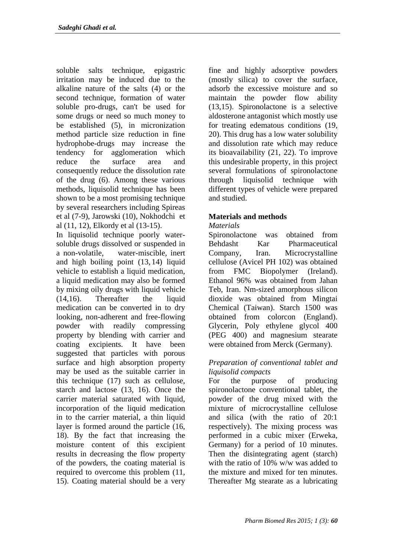soluble salts technique, epigastric irritation may be induced due to the alkaline nature of the salts (4) or the second technique, formation of water soluble pro-drugs, can't be used for some drugs or need so much money to be established (5), in micronization method particle size reduction in fine hydrophobe-drugs may increase the tendency for agglomeration which reduce the surface area and consequently reduce the dissolution rate of the drug (6). Among these various methods, liquisolid technique has been shown to be a most promising technique by several researchers including Spireas et al (7-9), Jarowski (10), Nokhodchi et al (11, 12), Elkordy et al (13-15).

In liquisolid technique poorly watersoluble drugs dissolved or suspended in a non-volatile, water-miscible, inert and high boiling point (13, 14) liquid vehicle to establish a liquid medication, a liquid medication may also be formed by mixing oily drugs with liquid vehicle (14,16). Thereafter the liquid medication can be converted in to dry looking, non-adherent and free-flowing powder with readily compressing property by blending with carrier and coating excipients. It have been suggested that particles with porous surface and high absorption property may be used as the suitable carrier in this technique (17) such as cellulose, starch and lactose (13, 16). Once the carrier material saturated with liquid, incorporation of the liquid medication in to the carrier material, a thin liquid layer is formed around the particle (16, 18). By the fact that increasing the moisture content of this excipient results in decreasing the flow property of the powders, the coating material is required to overcome this problem (11, 15). Coating material should be a very

fine and highly adsorptive powders (mostly silica) to cover the surface, adsorb the excessive moisture and so maintain the powder flow ability (13,15). Spironolactone is a selective aldosterone antagonist which mostly use for treating edematous conditions (19, 20). This drug has a low water solubility and dissolution rate which may reduce its bioavailability (21, 22). To improve this undesirable property, in this project several formulations of spironolactone through liquisolid technique with different types of vehicle were prepared and studied.

## **Materials and methods**

### *Materials*

Spironolactone was obtained from Behdasht Kar Pharmaceutical Company, Iran. Microcrystalline cellulose (Avicel PH 102) was obtained from FMC Biopolymer (Ireland). Ethanol 96% was obtained from Jahan Teb, Iran. Nm-sized amorphous silicon dioxide was obtained from Mingtai Chemical (Taiwan). Starch 1500 was obtained from colorcon (England). Glycerin, Poly ethylene glycol 400 (PEG 400) and magnesium stearate were obtained from Merck (Germany).

### *Preparation of conventional tablet and liquisolid compacts*

For the purpose of producing spironolactone conventional tablet, the powder of the drug mixed with the mixture of microcrystalline cellulose and silica (with the ratio of 20:1 respectively). The mixing process was performed in a cubic mixer (Erweka, Germany) for a period of 10 minutes. Then the disintegrating agent (starch) with the ratio of 10% w/w was added to the mixture and mixed for ten minutes. Thereafter Mg stearate as a lubricating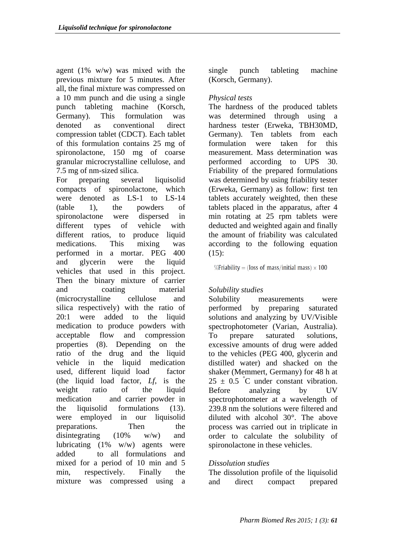agent (1% w/w) was mixed with the previous mixture for 5 minutes. After all, the final mixture was compressed on a 10 mm punch and die using a single punch tableting machine (Korsch, Germany). This formulation was denoted as conventional direct compression tablet (CDCT). Each tablet of this formulation contains 25 mg of spironolactone, 150 mg of coarse granular microcrystalline cellulose, and 7.5 mg of nm-sized silica.

For preparing several liquisolid compacts of spironolactone, which were denoted as LS-1 to LS-14 (table 1), the powders of spironolactone were dispersed in different types of vehicle with different ratios, to produce liquid medications. This mixing was performed in a mortar. PEG 400 and glycerin were the liquid vehicles that used in this project. Then the binary mixture of carrier and coating material (microcrystalline cellulose and silica respectively) with the ratio of 20:1 were added to the liquid medication to produce powders with acceptable flow and compression properties (8). Depending on the ratio of the drug and the liquid vehicle in the liquid medication used, different liquid load factor (the liquid load factor, *Lf*, is the weight ratio of the liquid medication and carrier powder in the liquisolid formulations (13). were employed in our liquisolid preparations. Then the disintegrating (10% w/w) and lubricating (1% w/w) agents were added to all formulations and mixed for a period of 10 min and 5 min, respectively. Finally the mixture was compressed using a single punch tableting machine (Korsch, Germany).

## *Physical tests*

The hardness of the produced tablets was determined through using a hardness tester (Erweka, TBH30MD, Germany). Ten tablets from each formulation were taken for this measurement. Mass determination was performed according to UPS 30. Friability of the prepared formulations was determined by using friability tester (Erweka, Germany) as follow: first ten tablets accurately weighted, then these tablets placed in the apparatus, after 4 min rotating at 25 rpm tablets were deducted and weighted again and finally the amount of friability was calculated according to the following equation  $(15):$ 

%Friability = (loss of mass/initial mass)  $\times$  100

## *Solubility studies*

Solubility measurements were performed by preparing saturated solutions and analyzing by UV/Visible spectrophotometer (Varian, Australia). To prepare saturated solutions, excessive amounts of drug were added to the vehicles (PEG 400, glycerin and distilled water) and shacked on the shaker (Memmert, Germany) for 48 h at  $25 \pm 0.5$  °C under constant vibration. Before analyzing by UV spectrophotometer at a wavelength of 239.8 nm the solutions were filtered and diluted with alcohol 30°. The above process was carried out in triplicate in order to calculate the solubility of spironolactone in these vehicles.

## *Dissolution studies*

The dissolution profile of the liquisolid and direct compact prepared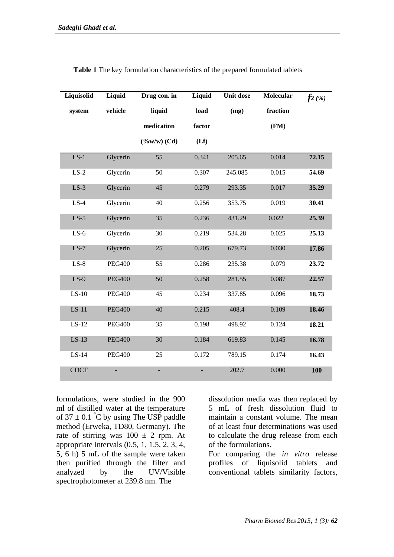| Liquisolid  | Liquid                   | Drug con. in            | Liquid | <b>Unit dose</b> | <b>Molecular</b> | $f_2$ (%) |
|-------------|--------------------------|-------------------------|--------|------------------|------------------|-----------|
| system      | vehicle                  | liquid                  | load   | (mg)             | fraction         |           |
|             |                          | medication              | factor |                  | (FM)             |           |
|             |                          | $(\frac{9}{6}w/w)$ (Cd) | (Lf)   |                  |                  |           |
| $LS-1$      | Glycerin                 | 55                      | 0.341  | 205.65           | 0.014            | 72.15     |
| $LS-2$      | Glycerin                 | 50                      | 0.307  | 245.085          | 0.015            | 54.69     |
| $LS-3$      | Glycerin                 | 45                      | 0.279  | 293.35           | 0.017            | 35.29     |
| $LS-4$      | Glycerin                 | 40                      | 0.256  | 353.75           | 0.019            | 30.41     |
| $LS-5$      | Glycerin                 | 35                      | 0.236  | 431.29           | 0.022            | 25.39     |
| $LS-6$      | Glycerin                 | 30                      | 0.219  | 534.28           | 0.025            | 25.13     |
| $LS-7$      | Glycerin                 | 25                      | 0.205  | 679.73           | 0.030            | 17.86     |
| $LS-8$      | <b>PEG400</b>            | 55                      | 0.286  | 235.38           | 0.079            | 23.72     |
| $LS-9$      | <b>PEG400</b>            | 50                      | 0.258  | 281.55           | 0.087            | 22.57     |
| $LS-10$     | <b>PEG400</b>            | 45                      | 0.234  | 337.85           | 0.096            | 18.73     |
| $LS-11$     | <b>PEG400</b>            | 40                      | 0.215  | 408.4            | 0.109            | 18.46     |
| $LS-12$     | <b>PEG400</b>            | 35                      | 0.198  | 498.92           | 0.124            | 18.21     |
| $LS-13$     | <b>PEG400</b>            | 30                      | 0.184  | 619.83           | 0.145            | 16.78     |
| $LS-14$     | <b>PEG400</b>            | 25                      | 0.172  | 789.15           | 0.174            | 16.43     |
| <b>CDCT</b> | $\overline{\phantom{0}}$ | $\blacksquare$          |        | 202.7            | 0.000            | 100       |

**Table 1** The key formulation characteristics of the prepared formulated tablets

formulations, were studied in the 900 ml of distilled water at the temperature of  $37 \pm 0.1$  °C by using The USP paddle method (Erweka, TD80, Germany). The rate of stirring was  $100 \pm 2$  rpm. At appropriate intervals (0.5, 1, 1.5, 2, 3, 4, 5, 6 h) 5 mL of the sample were taken then purified through the filter and analyzed by the UV/Visible spectrophotometer at 239.8 nm. The

dissolution media was then replaced by 5 mL of fresh dissolution fluid to maintain a constant volume. The mean of at least four determinations was used to calculate the drug release from each of the formulations.

For comparing the *in vitro* release profiles of liquisolid tablets and conventional tablets similarity factors,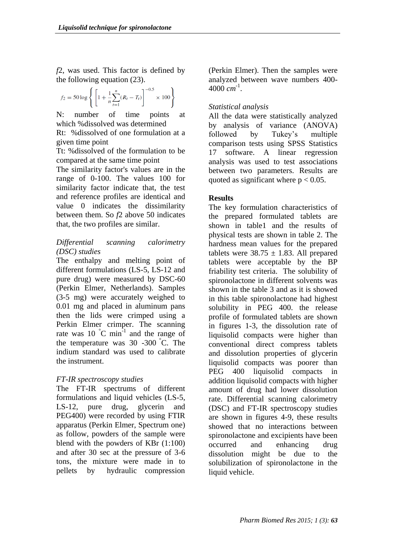*f*2, was used. This factor is defined by the following equation (23).

$$
f_2 = 50 \log \left\{ \left[ 1 + \frac{1}{n} \sum_{t=1}^{n} (R_t - T_t) \right]^{-0.5} \times 100 \right\}
$$

N: number of time points at which %dissolved was determined

Rt: %dissolved of one formulation at a given time point

Tt: %dissolved of the formulation to be compared at the same time point

The similarity factor's values are in the range of 0-100. The values 100 for similarity factor indicate that, the test and reference profiles are identical and value 0 indicates the dissimilarity between them. So *f*2 above 50 indicates that, the two profiles are similar.

### *Differential scanning calorimetry (DSC) studies*

The enthalpy and melting point of different formulations (LS-5, LS-12 and pure drug) were measured by DSC-60 (Perkin Elmer, Netherlands). Samples (3-5 mg) were accurately weighed to 0.01 mg and placed in aluminum pans then the lids were crimped using a Perkin Elmer crimper. The scanning rate was 10  $^{\circ}$ C min<sup>-1</sup> and the range of the temperature was 30 -300 °C. The indium standard was used to calibrate the instrument.

# *FT-IR spectroscopy studies*

The FT-IR spectrums of different formulations and liquid vehicles (LS-5, LS-12, pure drug, glycerin and PEG400) were recorded by using FTIR apparatus (Perkin Elmer, Spectrum one) as follow, powders of the sample were blend with the powders of KBr (1:100) and after 30 sec at the pressure of 3-6 tons, the mixture were made in to pellets by hydraulic compression (Perkin Elmer). Then the samples were analyzed between wave numbers 400- 4000 *cm* -1 .

# *Statistical analysis*

All the data were statistically analyzed by analysis of variance (ANOVA) followed by Tukey's multiple comparison tests using SPSS Statistics 17 software. A linear regression analysis was used to test associations between two parameters. Results are quoted as significant where  $p < 0.05$ .

# **Results**

The key formulation characteristics of the prepared formulated tablets are shown in table1 and the results of physical tests are shown in table 2. The hardness mean values for the prepared tablets were  $38.75 \pm 1.83$ . All prepared tablets were acceptable by the BP friability test criteria. The solubility of spironolactone in different solvents was shown in the table 3 and as it is showed in this table spironolactone had highest solubility in PEG 400. the release profile of formulated tablets are shown in figures 1-3, the dissolution rate of liquisolid compacts were higher than conventional direct compress tablets and dissolution properties of glycerin liquisolid compacts was poorer than PEG 400 liquisolid compacts in addition liquisolid compacts with higher amount of drug had lower dissolution rate. Differential scanning calorimetry (DSC) and FT-IR spectroscopy studies are shown in figures 4-9, these results showed that no interactions between spironolactone and excipients have been occurred and enhancing drug dissolution might be due to the solubilization of spironolactone in the liquid vehicle.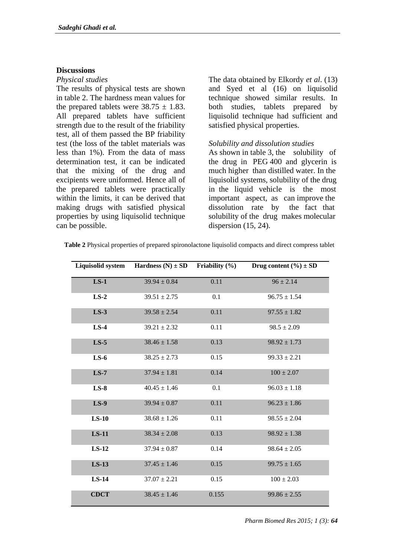### **Discussions**

### *Physical studies*

The results of physical tests are shown in table 2. The hardness mean values for the prepared tablets were  $38.75 \pm 1.83$ . All prepared tablets have sufficient strength due to the result of the friability test, all of them passed the BP friability test (the loss of the tablet materials was less than 1%). From the data of mass determination test, it can be indicated that the mixing of the drug and excipients were uniformed. Hence all of the prepared tablets were practically within the limits, it can be derived that making drugs with satisfied physical properties by using liquisolid technique can be possible.

The data obtained by Elkordy *et al*. (13) and Syed et al (16) on liquisolid technique showed similar results. In both studies, tablets prepared by liquisolid technique had sufficient and satisfied physical properties.

### *Solubility and dissolution studies*

As shown in table 3, the solubility of the drug in PEG 400 and glycerin is much higher than distilled water. In the liquisolid systems, solubility of the drug in the liquid vehicle is the most important aspect, as can improve the dissolution rate by the fact that solubility of the drug makes molecular dispersion  $(15, 24)$ .

| Table 2 Physical properties of prepared spironolactone liquisolid compacts and direct compress tablet |  |
|-------------------------------------------------------------------------------------------------------|--|
|-------------------------------------------------------------------------------------------------------|--|

| Liquisolid system | Hardness $(N) \pm SD$ | Friability $(\% )$ | Drug content $(\% ) \pm SD$ |
|-------------------|-----------------------|--------------------|-----------------------------|
| $LS-1$            | $39.94 \pm 0.84$      | 0.11               | $96 \pm 2.14$               |
| $LS-2$            | $39.51 \pm 2.75$      | 0.1                | $96.75 \pm 1.54$            |
| $LS-3$            | $39.58 \pm 2.54$      | 0.11               | $97.55 \pm 1.82$            |
| $LS-4$            | $39.21 \pm 2.32$      | 0.11               | $98.5 \pm 2.09$             |
| $LS-5$            | $38.46 \pm 1.58$      | 0.13               | $98.92 \pm 1.73$            |
| $LS-6$            | $38.25 \pm 2.73$      | 0.15               | $99.33 \pm 2.21$            |
| $LS-7$            | $37.94 \pm 1.81$      | 0.14               | $100 \pm 2.07$              |
| $LS-8$            | $40.45 \pm 1.46$      | 0.1                | $96.03 \pm 1.18$            |
| $LS-9$            | $39.94 \pm 0.87$      | 0.11               | $96.23 \pm 1.86$            |
| $LS-10$           | $38.68 \pm 1.26$      | 0.11               | $98.55 \pm 2.04$            |
| $LS-11$           | $38.34 \pm 2.08$      | 0.13               | $98.92 \pm 1.38$            |
| $LS-12$           | $37.94 \pm 0.87$      | 0.14               | $98.64 \pm 2.05$            |
| $LS-13$           | $37.45 \pm 1.46$      | 0.15               | $99.75 \pm 1.65$            |
| $LS-14$           | $37.07 \pm 2.21$      | 0.15               | $100 \pm 2.03$              |
| <b>CDCT</b>       | $38.45 \pm 1.46$      | 0.155              | $99.86 \pm 2.55$            |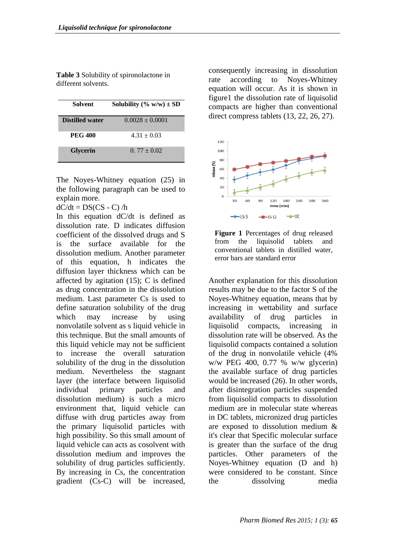**Table 3** Solubility of spironolactone in different solvents.

| <b>Solvent</b>         | Solubility (% w/w) $\pm$ SD |
|------------------------|-----------------------------|
| <b>Distilled water</b> | $0.0028 \pm 0.0001$         |
| <b>PEG 400</b>         | $4.31 + 0.03$               |
| <b>Glycerin</b>        | $0.77 + 0.02$               |

The Noyes-Whitney equation (25) in the following paragraph can be used to explain more.

 $dC/dt = DS(CS - C)/h$ 

In this equation dC/dt is defined as dissolution rate. D indicates diffusion coefficient of the dissolved drugs and S is the surface available for the dissolution medium. Another parameter of this equation, h indicates the diffusion layer thickness which can be affected by agitation (15); C is defined as drug concentration in the dissolution medium. Last parameter Cs is used to define saturation solubility of the drug which may increase by using nonvolatile solvent as s liquid vehicle in this technique. But the small amounts of this liquid vehicle may not be sufficient to increase the overall saturation solubility of the drug in the dissolution medium. Nevertheless the stagnant layer (the interface between liquisolid individual primary particles and dissolution medium) is such a micro environment that, liquid vehicle can diffuse with drug particles away from the primary liquisolid particles with high possibility. So this small amount of liquid vehicle can acts as cosolvent with dissolution medium and improves the solubility of drug particles sufficiently. By increasing in Cs, the concentration gradient (Cs-C) will be increased,

consequently increasing in dissolution rate according to Noyes-Whitney equation will occur. As it is shown in figure1 the dissolution rate of liquisolid compacts are higher than conventional direct compress tablets  $(13, 22, 26, 27)$ .



**Figure 1** Percentages of drug released from the liquisolid tablets and conventional tablets in distilled water, error bars are standard error

Another explanation for this dissolution results may be due to the factor S of the Noyes-Whitney equation, means that by increasing in wettability and surface availability of drug particles in liquisolid compacts, increasing in dissolution rate will be observed. As the liquisolid compacts contained a solution of the drug in nonvolatile vehicle (4% w/w PEG 400, 0.77 % w/w glycerin) the available surface of drug particles would be increased (26). In other words, after disintegration particles suspended from liquisolid compacts to dissolution medium are in molecular state whereas in DC tablets, micronized drug particles are exposed to dissolution medium & it's clear that Specific molecular surface is greater than the surface of the drug particles. Other parameters of the Noyes-Whitney equation (D and h) were considered to be constant. Since the dissolving media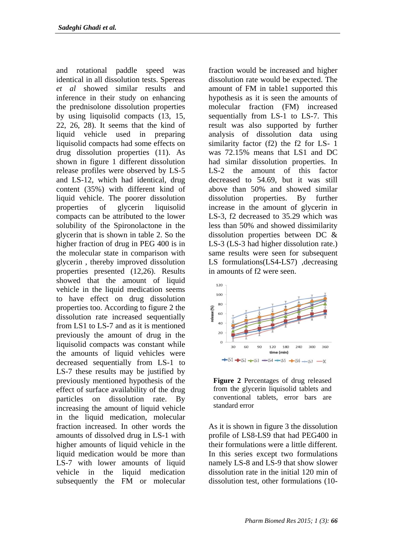and rotational paddle speed was identical in all dissolution tests. Spereas *et al* showed similar results and inference in their study on enhancing the prednisolone dissolution properties by using liquisolid compacts (13, 15, 22, 26, 28). It seems that the kind of liquid vehicle used in preparing liquisolid compacts had some effects on drug dissolution properties (11). As shown in figure 1 different dissolution release profiles were observed by LS-5 and LS-12, which had identical, drug content (35%) with different kind of liquid vehicle. The poorer dissolution properties of glycerin liquisolid compacts can be attributed to the lower solubility of the Spironolactone in the glycerin that is shown in table 2. So the higher fraction of drug in PEG 400 is in the molecular state in comparison with glycerin , thereby improved dissolution properties presented (12,26). Results showed that the amount of liquid vehicle in the liquid medication seems to have effect on drug dissolution properties too. According to figure 2 the dissolution rate increased sequentially from LS1 to LS-7 and as it is mentioned previously the amount of drug in the liquisolid compacts was constant while the amounts of liquid vehicles were decreased sequentially from LS-1 to LS-7 these results may be justified by previously mentioned hypothesis of the effect of surface availability of the drug particles on dissolution rate. By increasing the amount of liquid vehicle in the liquid medication, molecular fraction increased. In other words the amounts of dissolved drug in LS-1 with higher amounts of liquid vehicle in the liquid medication would be more than LS-7 with lower amounts of liquid vehicle in the liquid medication subsequently the FM or molecular

fraction would be increased and higher dissolution rate would be expected. The amount of FM in table1 supported this hypothesis as it is seen the amounts of molecular fraction (FM) increased sequentially from LS-1 to LS-7. This result was also supported by further analysis of dissolution data using similarity factor (f2) the f2 for LS- 1 was 72.15% means that LS1 and DC had similar dissolution properties. In LS-2 the amount of this factor decreased to 54.69, but it was still above than 50% and showed similar dissolution properties. By further increase in the amount of glycerin in LS-3, f2 decreased to 35.29 which was less than 50% and showed dissimilarity dissolution properties between DC & LS-3 (LS-3 had higher dissolution rate.) same results were seen for subsequent LS formulations(LS4-LS7) ,decreasing in amounts of f2 were seen.



**Figure 2** Percentages of drug released from the glycerin liquisolid tablets and conventional tablets, error bars are standard error

As it is shown in figure 3 the dissolution profile of LS8-LS9 that had PEG400 in their formulations were a little different. In this series except two formulations namely LS-8 and LS-9 that show slower dissolution rate in the initial 120 min of dissolution test, other formulations (10-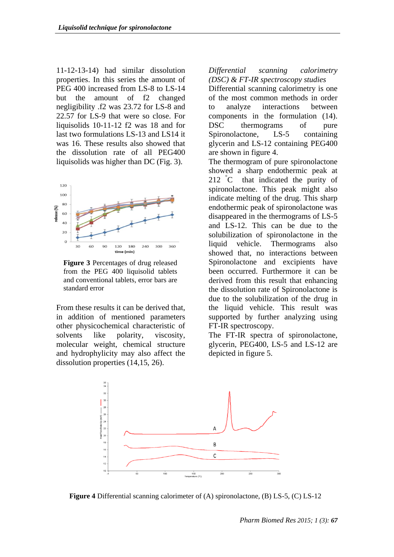11-12-13-14) had similar dissolution properties. In this series the amount of PEG 400 increased from LS-8 to LS-14 but the amount of f2 changed negligibility .f2 was 23.72 for LS-8 and 22.57 for LS-9 that were so close. For liquisolids 10-11-12 f2 was 18 and for last two formulations LS-13 and LS14 it was 16. These results also showed that the dissolution rate of all PEG400 liquisolids was higher than DC (Fig. 3).



**Figure 3** Percentages of drug released from the PEG 400 liquisolid tablets and conventional tablets, error bars are standard error

From these results it can be derived that, in addition of mentioned parameters other physicochemical characteristic of solvents like polarity, viscosity, molecular weight, chemical structure and hydrophylicity may also affect the dissolution properties (14,15, 26).

*Differential scanning calorimetry (DSC) & FT-IR spectroscopy studies*

Differential scanning calorimetry is one of the most common methods in order to analyze interactions between components in the formulation (14). DSC thermograms of pure Spironolactone, LS-5 containing glycerin and LS-12 containing PEG400 are shown in figure 4.

The thermogram of pure spironolactone showed a sharp endothermic peak at 212 °C that indicated the purity of spironolactone. This peak might also indicate melting of the drug. This sharp endothermic peak of spironolactone was disappeared in the thermograms of LS-5 and LS-12. This can be due to the solubilization of spironolactone in the liquid vehicle. Thermograms also showed that, no interactions between Spironolactone and excipients have been occurred. Furthermore it can be derived from this result that enhancing the dissolution rate of Spironolactone is due to the solubilization of the drug in the liquid vehicle. This result was supported by further analyzing using FT-IR spectroscopy.

The FT-IR spectra of spironolactone, glycerin, PEG400, LS-5 and LS-12 are depicted in figure 5.



**Figure 4** Differential scanning calorimeter of (A) spironolactone, (B) LS-5, (C) LS-12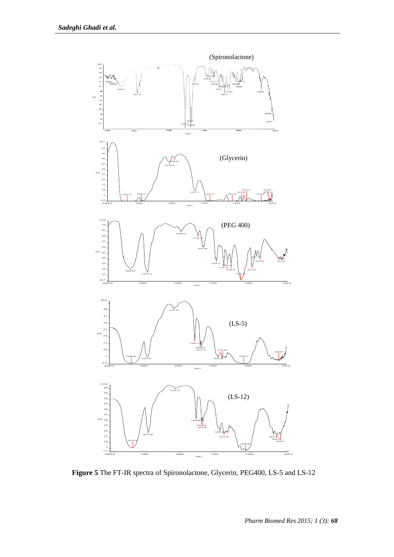

**Figure 5** The FT-IR spectra of Spironolactone, Glycerin, PEG400, LS-5 and LS-12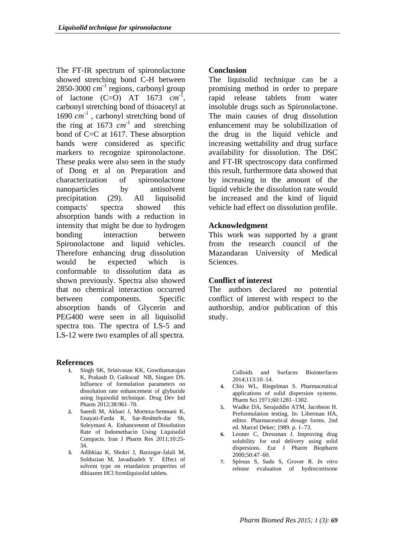The FT-IR spectrum of spironolactone showed stretching bond C-H between  $2850 - 3000$   $cm^{-1}$  regions, carbonyl group of lactone  $(C=0)$  AT 1673  $cm^{-1}$ , carbonyl stretching bond of thioacetyl at 1690  $cm^{-1}$ , carbonyl stretching bond of the ring at  $1673$   $cm^{-1}$  and stretching bond of C=C at 1617. These absorption bands were considered as specific markers to recognize spironolactone. These peaks were also seen in the study of Dong et al on Preparation and characterization of spironolactone nanoparticles by antisolvent precipitation (29). All liquisolid compacts' spectra showed this absorption bands with a reduction in intensity that might be due to hydrogen bonding interaction between Spironolactone and liquid vehicles. Therefore enhancing drug dissolution would be expected which is conformable to dissolution data as shown previously. Spectra also showed that no chemical interaction occurred between components. Specific absorption bands of Glycerin and PEG400 were seen in all liquisolid spectra too. The spectra of LS-5 and LS-12 were two examples of all spectra.

#### **References**

- **1.** Singh SK, Srinivasan KK, Gowthamarajan K, Prakash D, Gaikwad NB, Singare DS. Influence of formulation parameters on dissolution rate enhancement of glyburide using liquisolid technique. Drug Dev Ind Pharm 2012;38:961–70.
- **2.** Saeedi M, Akbari J, Morteza-Semnani K, Enayati-Farda R, Sar-Reshteh-dar Sh, Soleymani A. Enhancement of Dissolution Rate of Indomethacin Using Liquisolid Compacts. Iran J Pharm Res 2011;10:25- 34.
- **3.** Adibkiaa K, Shokri J, Barzegar-Jalali M, Solduzian M, Javadzadeh Y. Effect of solvent type on retardation properties of diltiazem HCl formliquisolid tablets.

### **Conclusion**

The liquisolid technique can be a promising method in order to prepare rapid release tablets from water insoluble drugs such as Spironolactone. The main causes of drug dissolution enhancement may be solubilization of the drug in the liquid vehicle and increasing wettability and drug surface availability for dissolution. The DSC and FT-IR spectroscopy data confirmed this result, furthermore data showed that by increasing in the amount of the liquid vehicle the dissolution rate would be increased and the kind of liquid vehicle had effect on dissolution profile.

### **Acknowledgment**

This work was supported by a grant from the research council of the Mazandaran University of Medical Sciences.

### **Conflict of interest**

The authors declared no potential conflict of interest with respect to the authorship, and/or publication of this study.

> Colloids and Surfaces Biointerfaces 2014;113:10–14.

- **4.** Chio WL, Riegelman S. Pharmaceutical applications of solid dispersion systems. Pharm Sci 1971;60:1281–1302.
- **5.** Wadke DA, Serajuddin ATM, Jacobson H. Preformulation testing. In: Liberman HA, editor. Pharmaceutical dosage forms. 2nd ed. Marcel Deker; 1989. p. 1–73.
- **6.** Leoner C, Dressman J. Improving drug solubility for oral delivery using solid dispersions. Eur J Pharm Biopharm 2000;50:47–60.
- **7.** Spireas S, Sadu S, Grover R. *In vitro* release evaluation of hydrocortisone